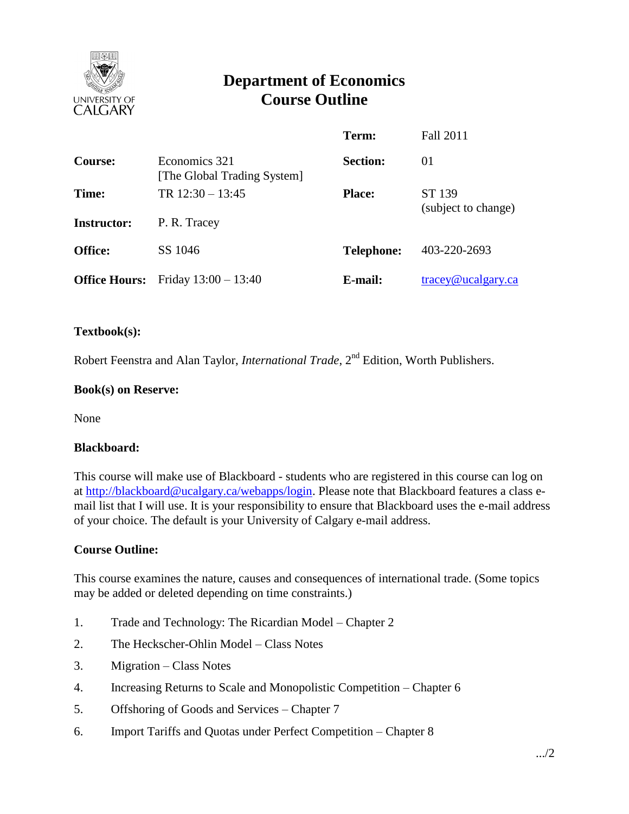

# **Department of Economics Course Outline**

|                      |                                              | Term:             | <b>Fall 2011</b>                 |
|----------------------|----------------------------------------------|-------------------|----------------------------------|
| <b>Course:</b>       | Economics 321<br>[The Global Trading System] | <b>Section:</b>   | 01                               |
| Time:                | TR $12:30 - 13:45$                           | <b>Place:</b>     | ST 139                           |
| <b>Instructor:</b>   | P. R. Tracey                                 |                   | (subject to change)              |
| <b>Office:</b>       | SS 1046                                      | <b>Telephone:</b> | 403-220-2693                     |
| <b>Office Hours:</b> | Friday $13:00 - 13:40$                       | E-mail:           | $trace\$ <sub>@ucalgary.ca</sub> |

#### **Textbook(s):**

Robert Feenstra and Alan Taylor, *International Trade*, 2<sup>nd</sup> Edition, Worth Publishers.

#### **Book(s) on Reserve:**

None

#### **Blackboard:**

This course will make use of Blackboard - students who are registered in this course can log on at [http://blackboard@ucalgary.ca/webapps/login.](http://blackboard@ucalgary.ca/webapps/login) Please note that Blackboard features a class email list that I will use. It is your responsibility to ensure that Blackboard uses the e-mail address of your choice. The default is your University of Calgary e-mail address.

## **Course Outline:**

This course examines the nature, causes and consequences of international trade. (Some topics may be added or deleted depending on time constraints.)

- 1. Trade and Technology: The Ricardian Model Chapter 2
- 2. The Heckscher-Ohlin Model Class Notes
- 3. Migration Class Notes
- 4. Increasing Returns to Scale and Monopolistic Competition Chapter 6
- 5. Offshoring of Goods and Services Chapter 7
- 6. Import Tariffs and Quotas under Perfect Competition Chapter 8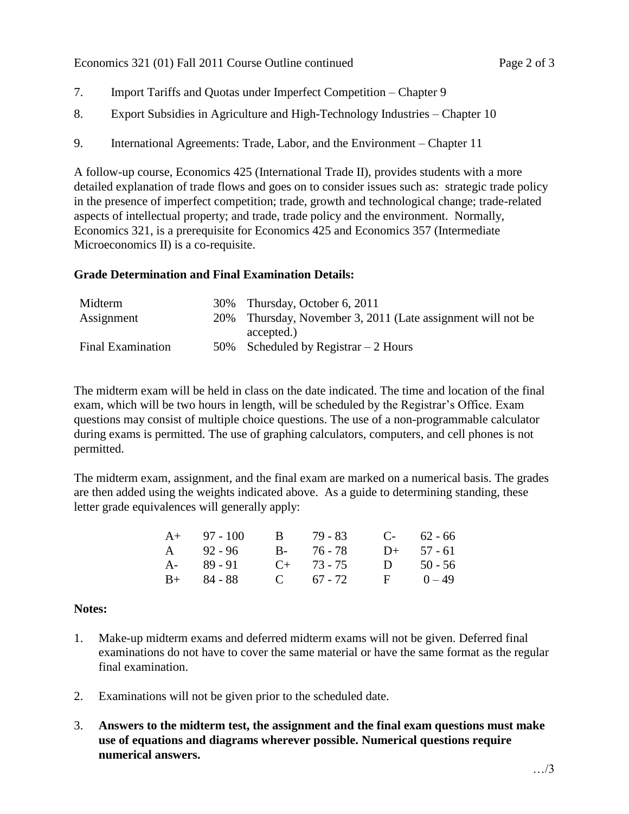Economics 321 (01) Fall 2011 Course Outline continued Page 2 of 3

- 7. Import Tariffs and Quotas under Imperfect Competition Chapter 9
- 8. Export Subsidies in Agriculture and High-Technology Industries Chapter 10
- 9. International Agreements: Trade, Labor, and the Environment Chapter 11

A follow-up course, Economics 425 (International Trade II), provides students with a more detailed explanation of trade flows and goes on to consider issues such as: strategic trade policy in the presence of imperfect competition; trade, growth and technological change; trade-related aspects of intellectual property; and trade, trade policy and the environment. Normally, Economics 321, is a prerequisite for Economics 425 and Economics 357 (Intermediate Microeconomics II) is a co-requisite.

# **Grade Determination and Final Examination Details:**

| Midterm                  | 30% Thursday, October 6, 2011                               |
|--------------------------|-------------------------------------------------------------|
| Assignment               | 20% Thursday, November 3, 2011 (Late assignment will not be |
|                          | accepted.)                                                  |
| <b>Final Examination</b> | 50% Scheduled by Registrar $-2$ Hours                       |

The midterm exam will be held in class on the date indicated. The time and location of the final exam, which will be two hours in length, will be scheduled by the Registrar's Office. Exam questions may consist of multiple choice questions. The use of a non-programmable calculator during exams is permitted. The use of graphing calculators, computers, and cell phones is not permitted.

The midterm exam, assignment, and the final exam are marked on a numerical basis. The grades are then added using the weights indicated above. As a guide to determining standing, these letter grade equivalences will generally apply:

| $A+ 97 - 100$ | B 79 - 83       | $C-$ 62 - 66 |
|---------------|-----------------|--------------|
| A 92 - 96     | B- 76-78        | $D+ 57 - 61$ |
| A- 89-91      | $C_{+}$ 73 - 75 | D $50 - 56$  |
| $B+ 84 - 88$  | C $67 - 72$     | $F = 0-49$   |

## **Notes:**

- 1. Make-up midterm exams and deferred midterm exams will not be given. Deferred final examinations do not have to cover the same material or have the same format as the regular final examination.
- 2. Examinations will not be given prior to the scheduled date.
- 3. **Answers to the midterm test, the assignment and the final exam questions must make use of equations and diagrams wherever possible. Numerical questions require numerical answers.**